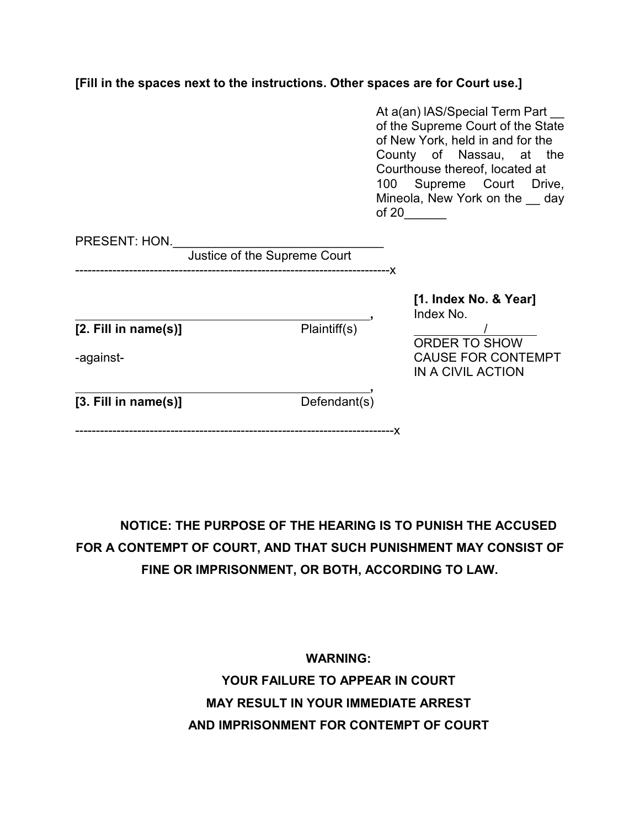**[Fill in the spaces next to the instructions. Other spaces are for Court use.]**

|                                         |                              | At a(an) IAS/Special Term Part<br>of the Supreme Court of the State<br>of New York, held in and for the<br>County of Nassau, at the<br>Courthouse thereof, located at<br>100 Supreme Court Drive,<br>Mineola, New York on the day<br>of 20 |
|-----------------------------------------|------------------------------|--------------------------------------------------------------------------------------------------------------------------------------------------------------------------------------------------------------------------------------------|
| PRESENT: HON.                           | Justice of the Supreme Court |                                                                                                                                                                                                                                            |
| $[2.$ Fill in name $(s)$ ]<br>-against- | Plaintiff(s)                 | [1. Index No. & Year]<br>Index No.<br><b>ORDER TO SHOW</b><br><b>CAUSE FOR CONTEMPT</b><br>IN A CIVIL ACTION                                                                                                                               |
| $[3.$ Fill in name $(s)$ ]              | Defendant(s)                 |                                                                                                                                                                                                                                            |

**NOTICE: THE PURPOSE OF THE HEARING IS TO PUNISH THE ACCUSED FOR A CONTEMPT OF COURT, AND THAT SUCH PUNISHMENT MAY CONSIST OF FINE OR IMPRISONMENT, OR BOTH, ACCORDING TO LAW.**

> **WARNING: YOUR FAILURE TO APPEAR IN COURT MAY RESULT IN YOUR IMMEDIATE ARREST AND IMPRISONMENT FOR CONTEMPT OF COURT**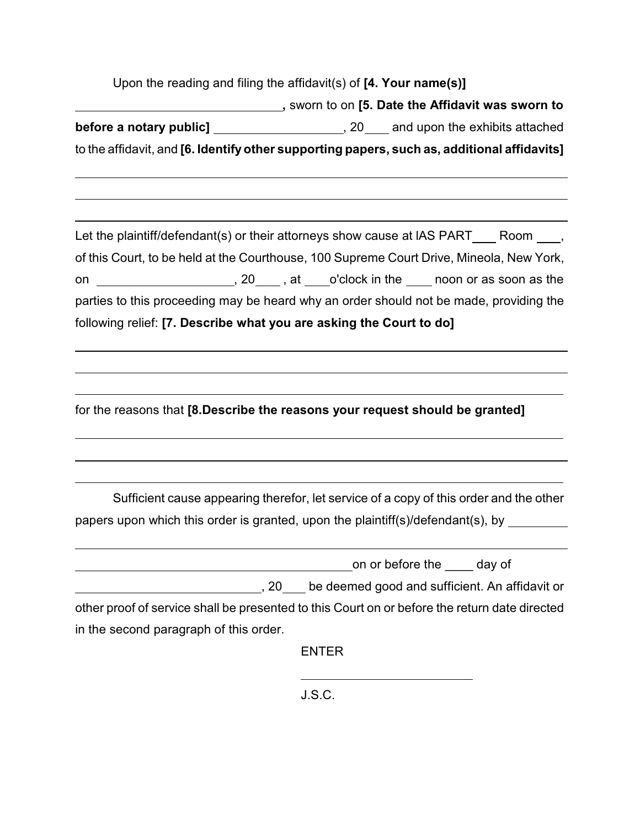| Upon the reading and filing the affidavit(s) of $[4.$ Your name(s)] |                                                                                               |
|---------------------------------------------------------------------|-----------------------------------------------------------------------------------------------|
|                                                                     |                                                                                               |
|                                                                     | before a notary public] ______________________, 20____ and upon the exhibits attached         |
|                                                                     | to the affidavit, and [6. Identify other supporting papers, such as, additional affidavits]   |
|                                                                     |                                                                                               |
|                                                                     | Let the plaintiff/defendant(s) or their attorneys show cause at IAS PART____Room ____,        |
|                                                                     | of this Court, to be held at the Courthouse, 100 Supreme Court Drive, Mineola, New York,      |
| on                                                                  |                                                                                               |
|                                                                     | parties to this proceeding may be heard why an order should not be made, providing the        |
| following relief: [7. Describe what you are asking the Court to do] |                                                                                               |
|                                                                     |                                                                                               |
|                                                                     |                                                                                               |
|                                                                     | for the reasons that [8.Describe the reasons your request should be granted]                  |
|                                                                     |                                                                                               |
|                                                                     |                                                                                               |
|                                                                     | Sufficient cause appearing therefor, let service of a copy of this order and the other        |
|                                                                     | papers upon which this order is granted, upon the plaintiff(s)/defendant(s), by _______       |
|                                                                     | on or before the _____ day of                                                                 |
|                                                                     | 20 be deemed good and sufficient. An affidavit or                                             |
|                                                                     | other proof of service shall be presented to this Court on or before the return date directed |
| in the second paragraph of this order.                              |                                                                                               |
|                                                                     | <b>ENTER</b>                                                                                  |
|                                                                     |                                                                                               |

J.S.C.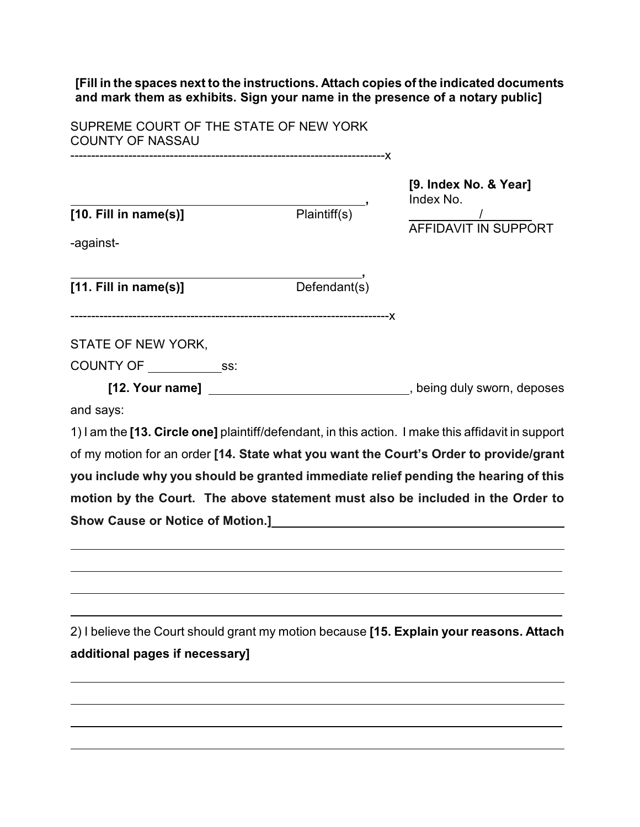**[Fill in the spaces next to the instructions. Attach copies of the indicated documents and mark them as exhibits. Sign your name in the presence of a notary public]**

SUPREME COURT OF THE STATE OF NEW YORK COUNTY OF NASSAU

----------------------------------------------------------------------------x

**[10. Fill in name(s)]** 

**[9. Index No. & Year] Findex No.**<br>Plaintiff(s) AFFIDAVIT IN SUPPORT

-against-

 **, [11. Fill in name(s)]** Defendant(s)

-----------------------------------------------------------------------------x

STATE OF NEW YORK,

 $COUNTY OF \_$ ss:

[12. Your name] \_\_\_\_\_\_\_\_\_\_\_\_\_\_\_\_\_\_\_\_\_\_\_\_\_\_\_\_\_\_\_\_\_\_, being duly sworn, deposes and says:

1) I am the **[13. Circle one]** plaintiff/defendant, in this action. I make this affidavit in support of my motion for an order **[14. State what you want the Court's Order to provide/grant you include why you should be granted immediate relief pending the hearing of this motion by the Court. The above statement must also be included in the Order to Show Cause or Notice of Motion.]** 

2) I believe the Court should grant my motion because **[15. Explain your reasons. Attach additional pages if necessary]**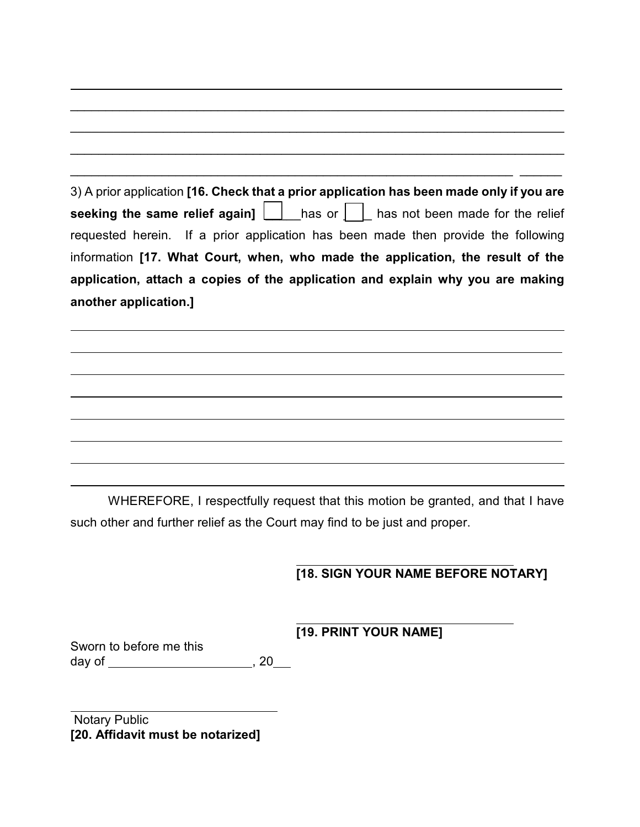| 3) A prior application [16. Check that a prior application has been made only if you are |
|------------------------------------------------------------------------------------------|
| seeking the same relief again] $\Box$ has or $\Box$ has not been made for the relief     |
| requested herein. If a prior application has been made then provide the following        |
| information [17. What Court, when, who made the application, the result of the           |
| application, attach a copies of the application and explain why you are making           |
| another application.]                                                                    |

\_\_\_\_\_\_\_\_\_\_\_\_\_\_\_\_\_\_\_\_\_\_\_\_\_\_\_\_\_\_\_\_\_\_\_\_\_\_\_\_\_\_\_\_\_\_\_\_\_\_\_\_\_\_\_\_\_\_\_\_\_\_\_\_\_\_\_\_\_\_

WHEREFORE, I respectfully request that this motion be granted, and that I have such other and further relief as the Court may find to be just and proper.

## **[18. SIGN YOUR NAME BEFORE NOTARY]**

 **[19. PRINT YOUR NAME]**

Sworn to before me this day of \_\_\_\_\_\_\_\_\_\_\_\_\_\_\_\_\_\_\_\_\_\_\_\_, 20<sub>\_</sub>

Notary Public **[20. Affidavit must be notarized]**